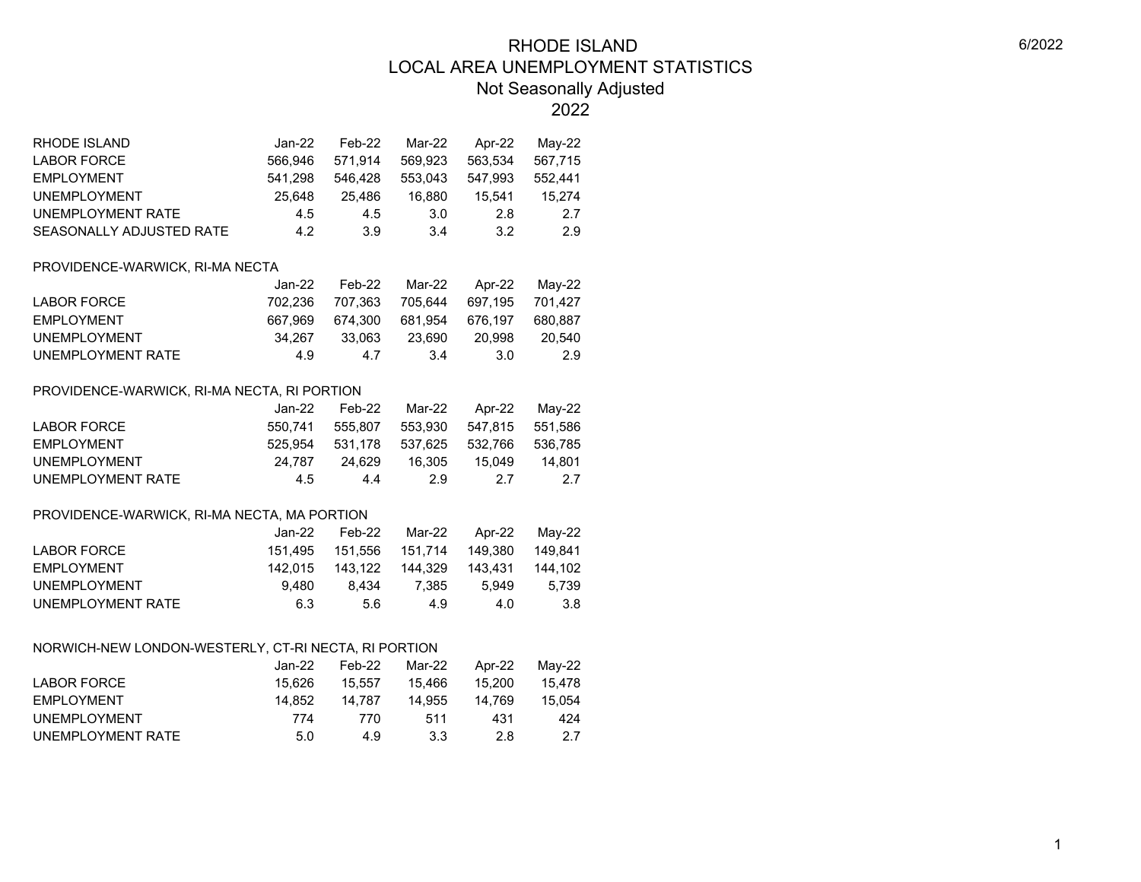2022

| RHODE ISLAND             | Jan-22. | Feb-22  | Mar-22  | Apr-22  | Mav-22  |
|--------------------------|---------|---------|---------|---------|---------|
| LABOR FORCE              | 566.946 | 571.914 | 569.923 | 563.534 | 567,715 |
| <b>EMPLOYMENT</b>        | 541.298 | 546.428 | 553.043 | 547.993 | 552.441 |
| <b>UNEMPLOYMENT</b>      | 25.648  | 25.486  | 16.880  | 15.541  | 15.274  |
| UNEMPLOYMENT RATE        | 4.5     | 4.5     | 3.0     | 2.8     | -2.7    |
| SEASONALLY ADJUSTED RATE | 4.2     | 3.9     | 3.4     | 3.2     | 29      |

#### PROVIDENCE-WARWICK, RI-MA NECTA

|                     | Jan-22  | Feb-22  | Mar-22  | Apr-22  | Mav-22  |
|---------------------|---------|---------|---------|---------|---------|
| LABOR FORCE         | 702.236 | 707.363 | 705.644 | 697.195 | 701.427 |
| <b>EMPLOYMENT</b>   | 667.969 | 674.300 | 681.954 | 676.197 | 680.887 |
| <b>UNEMPLOYMENT</b> | 34.267  | 33.063  | 23.690  | 20.998  | 20.540  |
| UNEMPLOYMENT RATE   | 4.9     | 47      | -34     | 3.0     | -2.9    |

#### PROVIDENCE-WARWICK, RI-MA NECTA, RI PORTION

|                     | Jan-22  | Feb-22  | Mar-22  | Apr-22  | Mav-22  |
|---------------------|---------|---------|---------|---------|---------|
| LABOR FORCE         | 550.741 | 555.807 | 553.930 | 547.815 | 551.586 |
| EMPLOYMENT          | 525.954 | 531.178 | 537.625 | 532.766 | 536.785 |
| <b>UNEMPLOYMENT</b> | 24.787  | 24.629  | 16.305  | 15.049  | 14.801  |
| UNEMPLOYMENT RATE   | 4.5     | 44      | -29     | -27     | 27      |

#### PROVIDENCE-WARWICK, RI-MA NECTA, MA PORTION

|                   | Jan-22  | Feb-22  | Mar-22          | Apr-22  | Mav-22  |
|-------------------|---------|---------|-----------------|---------|---------|
| LABOR FORCE       | 151.495 |         | 151.556 151.714 | 149.380 | 149.841 |
| FMPI OYMFNT       | 142.015 | 143.122 | 144.329         | 143.431 | 144.102 |
| UNEMPLOYMENT      | 9.480   | 8.434   | 7.385           | 5.949   | 5.739   |
| UNEMPLOYMENT RATE | 6.3     | 5.6     | 4.9             | 4.0     | 3.8     |

#### NORWICH-NEW LONDON-WESTERLY, CT-RI NECTA, RI PORTION

|                     | Jan-22. | Feb-22 | Mar-22 | Apr-22 | Mav-22 |
|---------------------|---------|--------|--------|--------|--------|
| LABOR FORCE         | 15.626  | 15.557 | 15.466 | 15.200 | 15.478 |
| <b>EMPLOYMENT</b>   | 14.852  | 14.787 | 14.955 | 14.769 | 15.054 |
| <b>UNEMPLOYMENT</b> | 774     | 770    | 511    | 431    | 424    |
| UNEMPLOYMENT RATE   | 5.0     | 4.9    | 3.3    | 2.8    | 2.7    |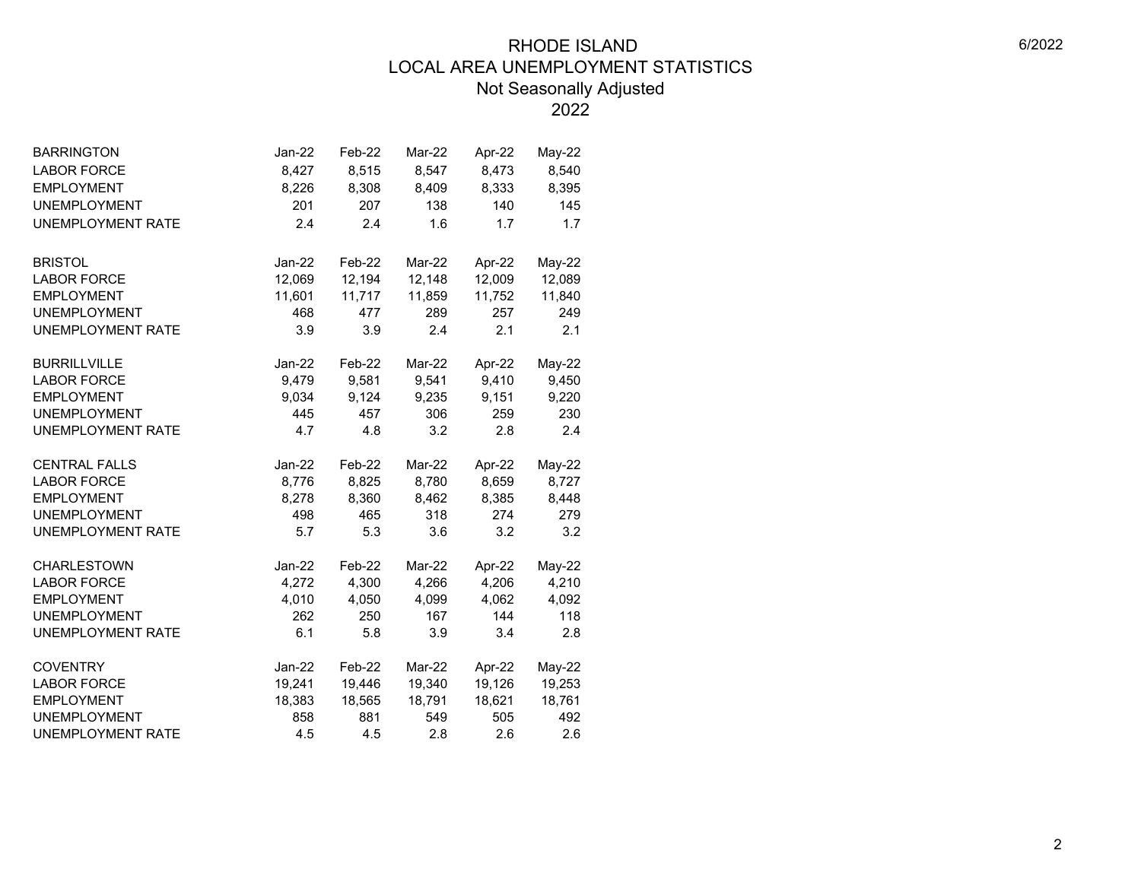| <b>BARRINGTON</b>        | Jan-22   | Feb-22 | Mar-22 | Apr-22 | May-22   |  |
|--------------------------|----------|--------|--------|--------|----------|--|
| <b>LABOR FORCE</b>       | 8,427    | 8,515  | 8,547  | 8,473  | 8,540    |  |
| <b>EMPLOYMENT</b>        | 8,226    | 8,308  | 8,409  | 8,333  | 8,395    |  |
| <b>UNEMPLOYMENT</b>      | 201      | 207    | 138    | 140    | 145      |  |
| <b>UNEMPLOYMENT RATE</b> | 2.4      | 2.4    | 1.6    | 1.7    | 1.7      |  |
|                          |          |        |        |        |          |  |
| <b>BRISTOL</b>           | Jan-22   | Feb-22 | Mar-22 | Apr-22 | $May-22$ |  |
| <b>LABOR FORCE</b>       | 12,069   | 12,194 | 12,148 | 12,009 | 12,089   |  |
| <b>EMPLOYMENT</b>        | 11,601   | 11,717 | 11,859 | 11,752 | 11,840   |  |
| <b>UNEMPLOYMENT</b>      | 468      | 477    | 289    | 257    | 249      |  |
| <b>UNEMPLOYMENT RATE</b> | 3.9      | 3.9    | 2.4    | 2.1    | 2.1      |  |
|                          |          |        |        |        |          |  |
| <b>BURRILLVILLE</b>      | $Jan-22$ | Feb-22 | Mar-22 | Apr-22 | May-22   |  |
| <b>LABOR FORCE</b>       | 9,479    | 9,581  | 9,541  | 9,410  | 9,450    |  |
| <b>EMPLOYMENT</b>        | 9,034    | 9,124  | 9,235  | 9,151  | 9,220    |  |
| <b>UNEMPLOYMENT</b>      | 445      | 457    | 306    | 259    | 230      |  |
| <b>UNEMPLOYMENT RATE</b> | 4.7      | 4.8    | 3.2    | 2.8    | 2.4      |  |
| <b>CENTRAL FALLS</b>     | $Jan-22$ | Feb-22 | Mar-22 | Apr-22 | May-22   |  |
| <b>LABOR FORCE</b>       | 8,776    | 8,825  | 8,780  | 8,659  | 8,727    |  |
| <b>EMPLOYMENT</b>        | 8,278    | 8,360  | 8,462  | 8,385  | 8,448    |  |
| <b>UNEMPLOYMENT</b>      | 498      | 465    | 318    | 274    | 279      |  |
| <b>UNEMPLOYMENT RATE</b> | 5.7      | 5.3    | 3.6    | 3.2    | 3.2      |  |
| <b>CHARLESTOWN</b>       | Jan-22   | Feb-22 | Mar-22 | Apr-22 | May-22   |  |
| <b>LABOR FORCE</b>       | 4,272    | 4,300  | 4,266  | 4,206  | 4,210    |  |
| <b>EMPLOYMENT</b>        | 4,010    | 4,050  | 4,099  | 4,062  | 4,092    |  |
| <b>UNEMPLOYMENT</b>      | 262      | 250    | 167    | 144    | 118      |  |
| <b>UNEMPLOYMENT RATE</b> | 6.1      | 5.8    | 3.9    | 3.4    | 2.8      |  |
|                          |          |        |        |        |          |  |
| <b>COVENTRY</b>          | $Jan-22$ | Feb-22 | Mar-22 | Apr-22 | $May-22$ |  |
| <b>LABOR FORCE</b>       | 19,241   | 19,446 | 19,340 | 19,126 | 19,253   |  |
| <b>EMPLOYMENT</b>        | 18,383   | 18,565 | 18,791 | 18,621 | 18,761   |  |
| <b>UNEMPLOYMENT</b>      | 858      | 881    | 549    | 505    | 492      |  |
| <b>UNEMPLOYMENT RATE</b> | 4.5      | 4.5    | 2.8    | 2.6    | 2.6      |  |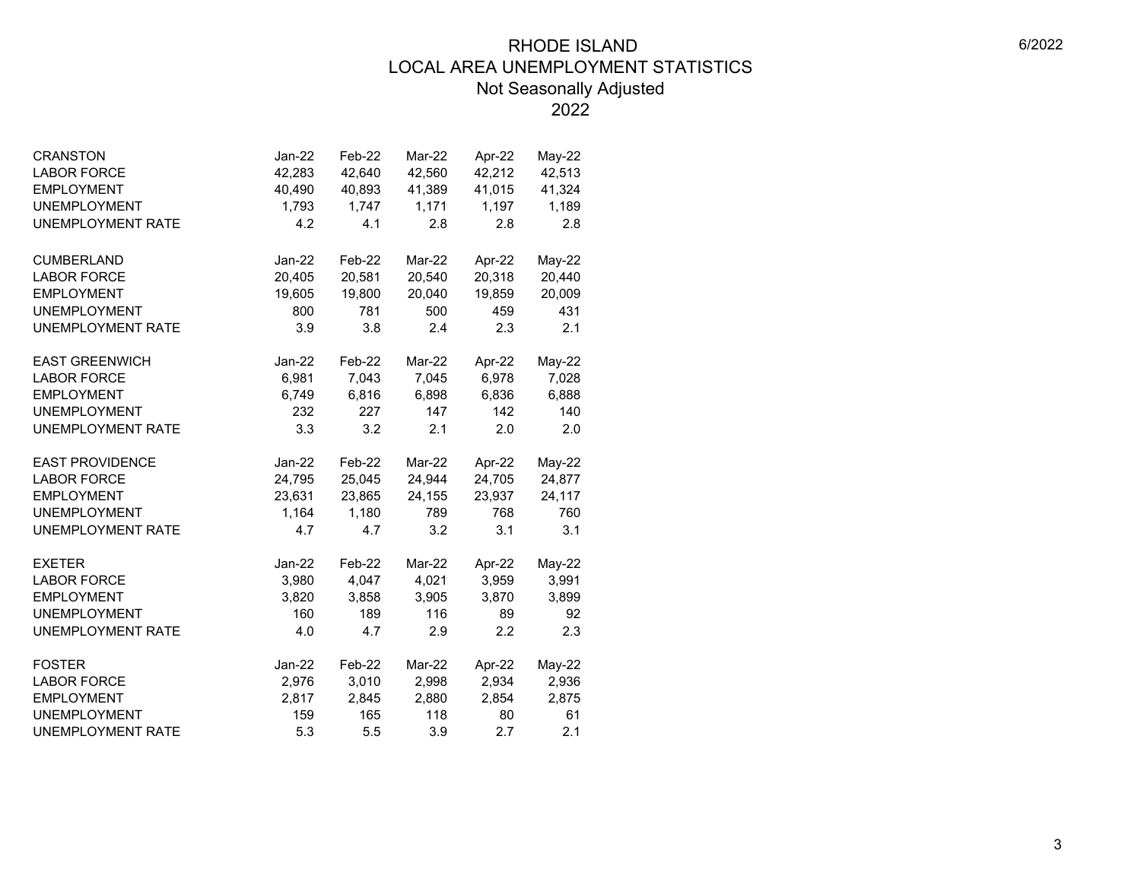| <b>CRANSTON</b>          | Jan-22          | Feb-22          | Mar-22          | Apr-22          | May-22          |  |
|--------------------------|-----------------|-----------------|-----------------|-----------------|-----------------|--|
| <b>LABOR FORCE</b>       | 42,283          | 42,640          | 42,560          | 42,212          | 42,513          |  |
| <b>EMPLOYMENT</b>        | 40,490          | 40,893          | 41,389          | 41,015          | 41,324          |  |
| <b>UNEMPLOYMENT</b>      | 1,793           | 1,747           | 1,171           | 1,197           | 1,189           |  |
| <b>UNEMPLOYMENT RATE</b> | 4.2             | 4.1             | 2.8             | 2.8             | 2.8             |  |
|                          |                 |                 |                 |                 |                 |  |
| <b>CUMBERLAND</b>        | Jan-22          | Feb-22          | Mar-22          | Apr-22          | $May-22$        |  |
| <b>LABOR FORCE</b>       | 20,405          | 20,581          | 20,540          | 20,318          | 20,440          |  |
| <b>EMPLOYMENT</b>        | 19,605          | 19,800          | 20,040          | 19,859          | 20,009          |  |
| <b>UNEMPLOYMENT</b>      | 800             | 781             | 500             | 459             | 431             |  |
| <b>UNEMPLOYMENT RATE</b> | 3.9             | 3.8             | 2.4             | 2.3             | 2.1             |  |
| <b>EAST GREENWICH</b>    | Jan-22          | Feb-22          | Mar-22          | Apr-22          | May-22          |  |
| <b>LABOR FORCE</b>       | 6,981           | 7,043           | 7,045           | 6,978           | 7,028           |  |
| <b>EMPLOYMENT</b>        | 6,749           | 6,816           | 6,898           | 6,836           | 6,888           |  |
| <b>UNEMPLOYMENT</b>      | 232             | 227             | 147             | 142             | 140             |  |
| <b>UNEMPLOYMENT RATE</b> | 3.3             | 3.2             | 2.1             | 2.0             | 2.0             |  |
| <b>EAST PROVIDENCE</b>   | Jan-22          | Feb-22          | Mar-22          | Apr-22          | May-22          |  |
| <b>LABOR FORCE</b>       | 24,795          | 25,045          | 24,944          | 24,705          | 24,877          |  |
| <b>EMPLOYMENT</b>        | 23,631          | 23,865          | 24,155          | 23,937          | 24,117          |  |
| <b>UNEMPLOYMENT</b>      | 1,164           | 1,180           | 789             | 768             | 760             |  |
| <b>UNEMPLOYMENT RATE</b> | 4.7             | 4.7             | 3.2             | 3.1             | 3.1             |  |
| <b>EXETER</b>            | Jan-22          | Feb-22          | Mar-22          | Apr-22          | May-22          |  |
| <b>LABOR FORCE</b>       | 3,980           | 4,047           | 4,021           | 3,959           | 3,991           |  |
| <b>EMPLOYMENT</b>        | 3,820           | 3,858           | 3,905           | 3,870           | 3,899           |  |
| <b>UNEMPLOYMENT</b>      | 160             | 189             | 116             | 89              | 92              |  |
| <b>UNEMPLOYMENT RATE</b> | 4.0             | 4.7             | 2.9             | 2.2             | 2.3             |  |
| <b>FOSTER</b>            |                 |                 |                 |                 |                 |  |
| <b>LABOR FORCE</b>       | Jan-22<br>2,976 | Feb-22<br>3,010 | Mar-22<br>2,998 | Apr-22<br>2,934 | May-22<br>2,936 |  |
| <b>EMPLOYMENT</b>        | 2,817           | 2,845           | 2,880           | 2,854           | 2,875           |  |
| <b>UNEMPLOYMENT</b>      | 159             | 165             | 118             | 80              | 61              |  |
|                          | 5.3             | 5.5             | 3.9             | 2.7             | 2.1             |  |
| UNEMPLOYMENT RATE        |                 |                 |                 |                 |                 |  |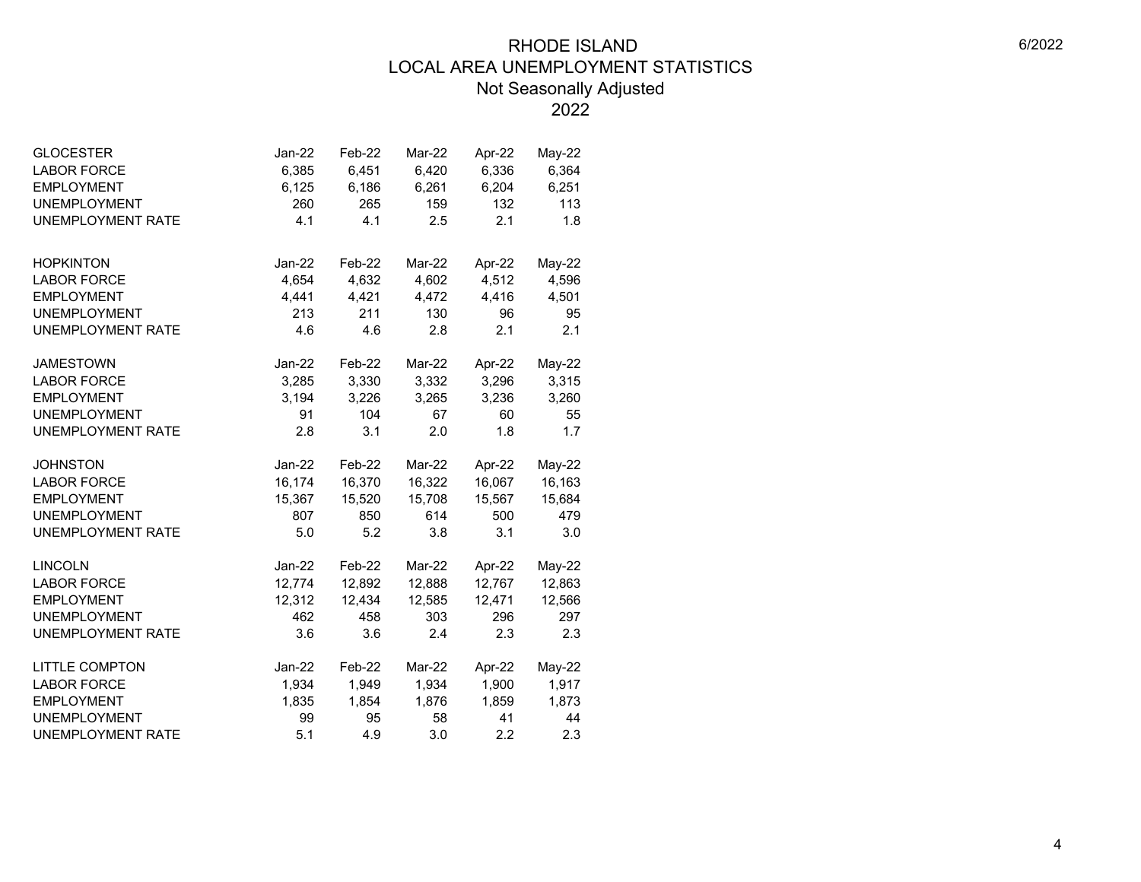| <b>GLOCESTER</b><br><b>LABOR FORCE</b><br><b>EMPLOYMENT</b><br><b>UNEMPLOYMENT</b> | $Jan-22$<br>6,385<br>6,125<br>260 | Feb-22<br>6,451<br>6,186<br>265 | Mar-22<br>6,420<br>6,261<br>159 | Apr-22<br>6,336<br>6,204<br>132 | May-22<br>6,364<br>6,251<br>113 |
|------------------------------------------------------------------------------------|-----------------------------------|---------------------------------|---------------------------------|---------------------------------|---------------------------------|
| <b>UNEMPLOYMENT RATE</b>                                                           | 4.1                               | 4.1                             | 2.5                             | 2.1                             | 1.8                             |
| <b>HOPKINTON</b>                                                                   | Jan-22                            | Feb-22                          | Mar-22                          | Apr-22                          | $May-22$                        |
| <b>LABOR FORCE</b>                                                                 | 4,654                             | 4,632                           | 4,602                           | 4,512                           | 4,596                           |
| <b>EMPLOYMENT</b>                                                                  | 4,441                             | 4,421                           | 4,472                           | 4,416                           | 4,501                           |
| <b>UNEMPLOYMENT</b>                                                                | 213                               | 211                             | 130                             | 96                              | 95                              |
| <b>UNEMPLOYMENT RATE</b>                                                           | 4.6                               | 4.6                             | 2.8                             | 2.1                             | 2.1                             |
| <b>JAMESTOWN</b>                                                                   | Jan-22                            | Feb-22                          | Mar-22                          | Apr-22                          | May-22                          |
| <b>LABOR FORCE</b>                                                                 | 3,285                             | 3,330                           | 3,332                           | 3,296                           | 3,315                           |
| <b>EMPLOYMENT</b>                                                                  | 3,194                             | 3,226                           | 3,265                           | 3,236                           | 3,260                           |
| <b>UNEMPLOYMENT</b>                                                                | 91                                | 104                             | 67                              | 60                              | 55                              |
| <b>UNEMPLOYMENT RATE</b>                                                           | 2.8                               | 3.1                             | 2.0                             | 1.8                             | 1.7                             |
| <b>JOHNSTON</b>                                                                    | Jan-22                            | Feb-22                          | Mar-22                          | Apr-22                          | $May-22$                        |
| <b>LABOR FORCE</b>                                                                 | 16,174                            | 16,370                          | 16,322                          | 16,067                          | 16,163                          |
| <b>EMPLOYMENT</b>                                                                  | 15,367                            | 15,520                          | 15,708                          | 15,567                          | 15,684                          |
| <b>UNEMPLOYMENT</b>                                                                | 807                               | 850                             | 614                             | 500                             | 479                             |
| <b>UNEMPLOYMENT RATE</b>                                                           | 5.0                               | 5.2                             | 3.8                             | 3.1                             | 3.0                             |
| <b>LINCOLN</b>                                                                     | Jan-22                            | Feb-22                          | Mar-22                          | Apr-22                          | May-22                          |
| <b>LABOR FORCE</b>                                                                 | 12,774                            | 12,892                          | 12,888                          | 12,767                          | 12,863                          |
| <b>EMPLOYMENT</b>                                                                  | 12,312                            | 12,434                          | 12,585                          | 12,471                          | 12,566                          |
| <b>UNEMPLOYMENT</b>                                                                | 462                               | 458                             | 303                             | 296                             | 297                             |
| <b>UNEMPLOYMENT RATE</b>                                                           | 3.6                               | 3.6                             | 2.4                             | 2.3                             | 2.3                             |
| <b>LITTLE COMPTON</b>                                                              | Jan-22                            | Feb-22                          | Mar-22                          | Apr-22                          | $May-22$                        |
| <b>LABOR FORCE</b>                                                                 | 1,934                             | 1,949                           | 1,934                           | 1,900                           | 1,917                           |
| <b>EMPLOYMENT</b>                                                                  | 1,835                             | 1,854                           | 1,876                           | 1,859                           | 1,873                           |
| <b>UNEMPLOYMENT</b>                                                                | 99                                | 95                              | 58                              | 41                              | 44                              |
| <b>UNEMPLOYMENT RATE</b>                                                           | 5.1                               | 4.9                             | 3.0                             | 2.2                             | 2.3                             |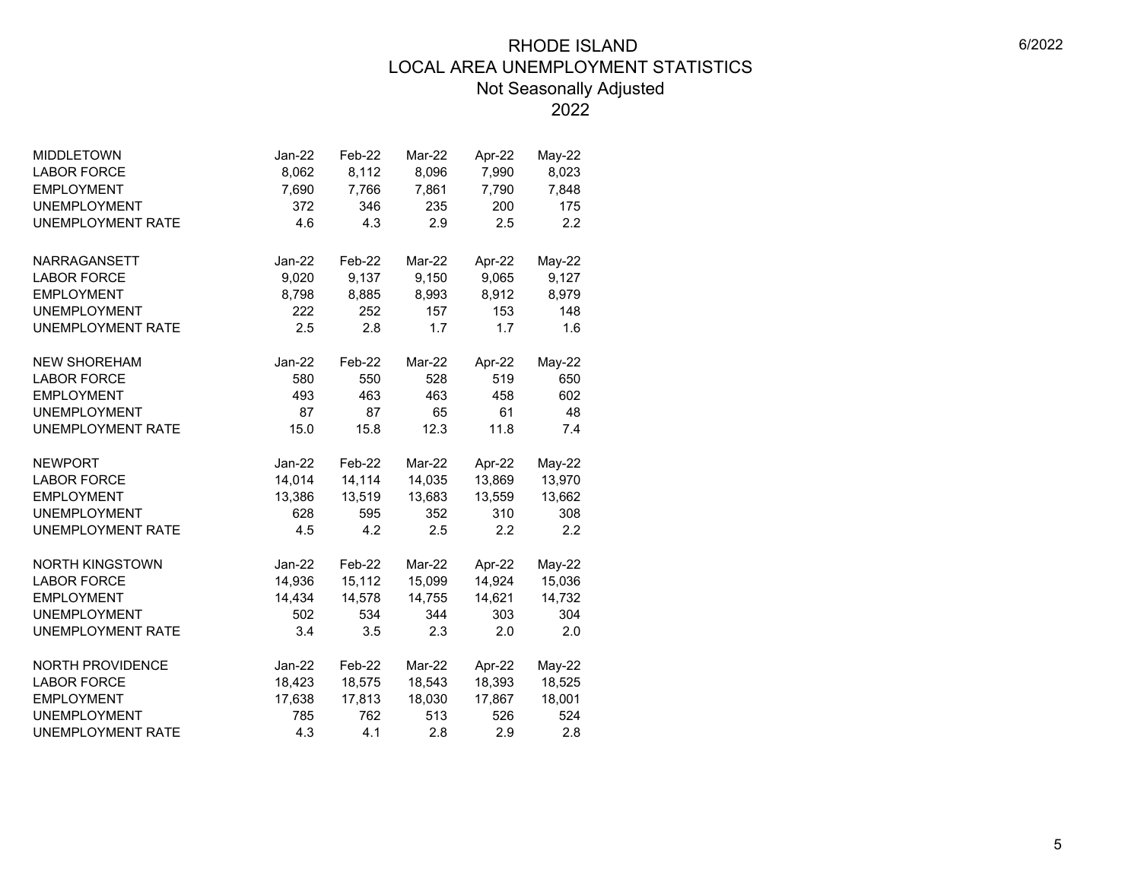| <b>LABOR FORCE</b><br>8,062<br>8,112<br>7,990<br>8,023<br>8,096<br><b>EMPLOYMENT</b><br>7,790<br>7,690<br>7,766<br>7,861<br>7,848<br><b>UNEMPLOYMENT</b><br>372<br>346<br>235<br>200<br>175<br>2.9<br>4.6<br>4.3<br>2.5<br>2.2<br><b>UNEMPLOYMENT RATE</b> |  |
|------------------------------------------------------------------------------------------------------------------------------------------------------------------------------------------------------------------------------------------------------------|--|
|                                                                                                                                                                                                                                                            |  |
|                                                                                                                                                                                                                                                            |  |
|                                                                                                                                                                                                                                                            |  |
|                                                                                                                                                                                                                                                            |  |
|                                                                                                                                                                                                                                                            |  |
| NARRAGANSETT<br>Jan-22<br>Feb-22<br>Mar-22<br>Apr-22<br>May-22                                                                                                                                                                                             |  |
| 9,150<br>9,065<br>9,127<br><b>LABOR FORCE</b><br>9,020<br>9,137                                                                                                                                                                                            |  |
| <b>EMPLOYMENT</b><br>8,798<br>8,912<br>8,979<br>8,885<br>8,993                                                                                                                                                                                             |  |
| 222<br>157<br><b>UNEMPLOYMENT</b><br>252<br>153<br>148                                                                                                                                                                                                     |  |
| <b>UNEMPLOYMENT RATE</b><br>2.5<br>2.8<br>1.7<br>1.7<br>1.6                                                                                                                                                                                                |  |
|                                                                                                                                                                                                                                                            |  |
| <b>NEW SHOREHAM</b><br>$Jan-22$<br>Feb-22<br>Mar-22<br>Apr-22<br>May-22                                                                                                                                                                                    |  |
| 580<br>550<br>528<br>519<br>650<br><b>LABOR FORCE</b>                                                                                                                                                                                                      |  |
| <b>EMPLOYMENT</b><br>493<br>463<br>463<br>458<br>602                                                                                                                                                                                                       |  |
| 87<br>65<br>61<br>48<br><b>UNEMPLOYMENT</b><br>87                                                                                                                                                                                                          |  |
| <b>UNEMPLOYMENT RATE</b><br>15.0<br>15.8<br>12.3<br>11.8<br>7.4                                                                                                                                                                                            |  |
| <b>NEWPORT</b><br>$Jan-22$<br>Feb-22<br>Mar-22<br>Apr-22<br>May-22                                                                                                                                                                                         |  |
| <b>LABOR FORCE</b><br>14,014<br>14,114<br>14,035<br>13,869<br>13,970                                                                                                                                                                                       |  |
| 13,662<br><b>EMPLOYMENT</b><br>13,386<br>13,519<br>13,683<br>13,559                                                                                                                                                                                        |  |
| <b>UNEMPLOYMENT</b><br>595<br>310<br>308<br>628<br>352                                                                                                                                                                                                     |  |
| <b>UNEMPLOYMENT RATE</b><br>4.5<br>4.2<br>2.5<br>2.2<br>2.2                                                                                                                                                                                                |  |
|                                                                                                                                                                                                                                                            |  |
| NORTH KINGSTOWN<br>$Jan-22$<br>Feb-22<br>Mar-22<br>Apr-22<br>May-22                                                                                                                                                                                        |  |
| 14,936<br>15,112<br>14,924<br>15,036<br><b>LABOR FORCE</b><br>15,099                                                                                                                                                                                       |  |
| 14,755<br><b>EMPLOYMENT</b><br>14,434<br>14,578<br>14,621<br>14,732                                                                                                                                                                                        |  |
| <b>UNEMPLOYMENT</b><br>502<br>534<br>344<br>303<br>304                                                                                                                                                                                                     |  |
| <b>UNEMPLOYMENT RATE</b><br>3.4<br>3.5<br>2.3<br>2.0<br>2.0                                                                                                                                                                                                |  |
| Feb-22<br><b>NORTH PROVIDENCE</b><br>Jan-22<br>Mar-22<br>Apr-22<br>$May-22$                                                                                                                                                                                |  |
| 18,525<br><b>LABOR FORCE</b><br>18,575<br>18,543<br>18,393<br>18,423                                                                                                                                                                                       |  |
| 18,001<br><b>EMPLOYMENT</b><br>17,638<br>17,813<br>18,030<br>17,867                                                                                                                                                                                        |  |
| <b>UNEMPLOYMENT</b><br>762<br>513<br>526<br>524<br>785                                                                                                                                                                                                     |  |
| <b>UNEMPLOYMENT RATE</b><br>4.3<br>4.1<br>2.8<br>2.9<br>2.8                                                                                                                                                                                                |  |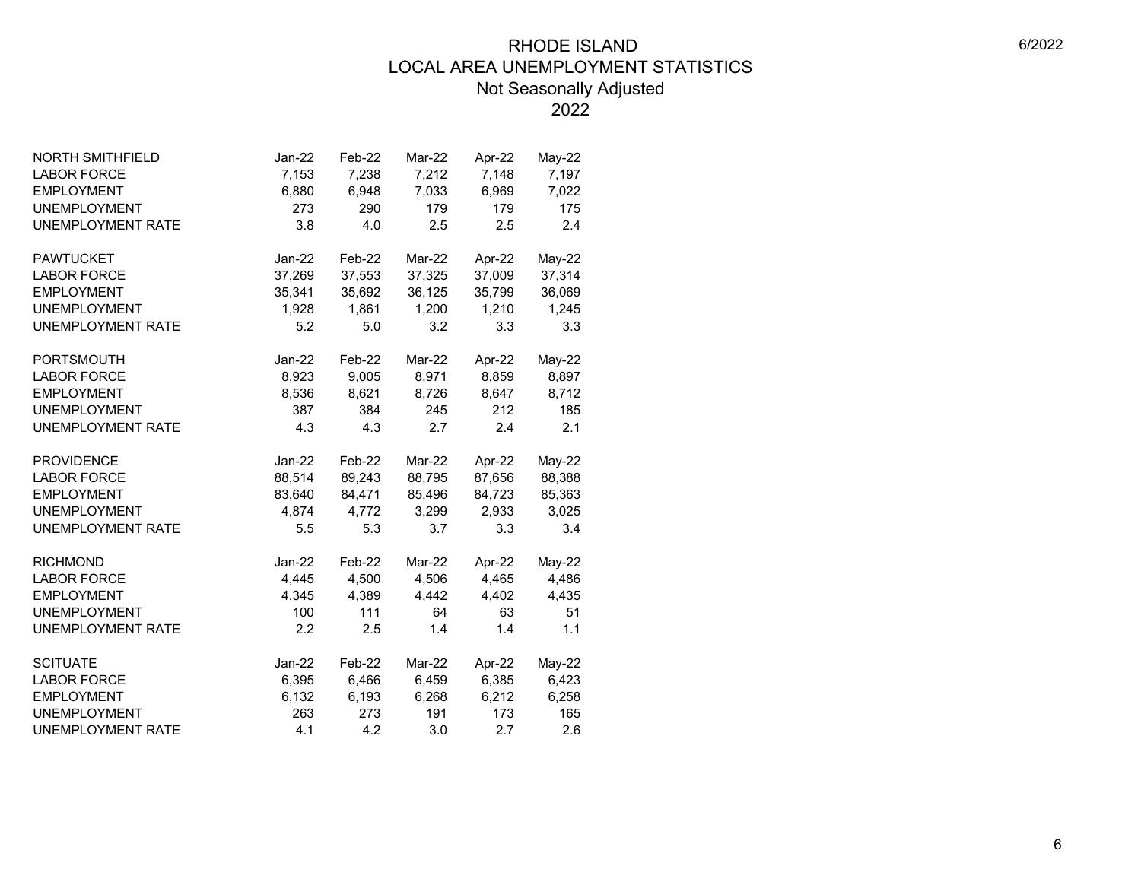| <b>NORTH SMITHFIELD</b>  | Jan-22   | Feb-22 | Mar-22        | Apr-22 | May-22   |
|--------------------------|----------|--------|---------------|--------|----------|
| <b>LABOR FORCE</b>       | 7,153    | 7,238  | 7,212         | 7,148  | 7,197    |
| <b>EMPLOYMENT</b>        | 6,880    | 6,948  | 7,033         | 6,969  | 7,022    |
| <b>UNEMPLOYMENT</b>      | 273      | 290    | 179           | 179    | 175      |
| <b>UNEMPLOYMENT RATE</b> | 3.8      | 4.0    | 2.5           | 2.5    | 2.4      |
| <b>PAWTUCKET</b>         | Jan-22   | Feb-22 | Mar-22        | Apr-22 | May-22   |
| <b>LABOR FORCE</b>       | 37,269   | 37,553 | 37,325        | 37,009 | 37,314   |
| <b>EMPLOYMENT</b>        | 35,341   | 35,692 | 36,125        | 35,799 | 36,069   |
| <b>UNEMPLOYMENT</b>      | 1,928    | 1,861  | 1,200         | 1,210  | 1,245    |
| <b>UNEMPLOYMENT RATE</b> | 5.2      | 5.0    | 3.2           | 3.3    | 3.3      |
| PORTSMOUTH               | Jan-22   | Feb-22 | Mar-22        | Apr-22 | May-22   |
| <b>LABOR FORCE</b>       | 8,923    | 9,005  | 8,971         | 8,859  | 8,897    |
| <b>EMPLOYMENT</b>        | 8,536    | 8,621  | 8,726         | 8,647  | 8,712    |
| <b>UNEMPLOYMENT</b>      | 387      | 384    | 245           | 212    | 185      |
| <b>UNEMPLOYMENT RATE</b> | 4.3      | 4.3    | 2.7           | 2.4    | 2.1      |
| <b>PROVIDENCE</b>        | Jan-22   | Feb-22 | Mar-22        | Apr-22 | May-22   |
| <b>LABOR FORCE</b>       | 88,514   | 89,243 | 88,795        | 87,656 | 88,388   |
| <b>EMPLOYMENT</b>        | 83,640   | 84,471 | 85,496        | 84,723 | 85,363   |
| <b>UNEMPLOYMENT</b>      | 4,874    | 4,772  | 3,299         | 2,933  | 3,025    |
| <b>UNEMPLOYMENT RATE</b> | 5.5      | 5.3    | 3.7           | 3.3    | 3.4      |
| <b>RICHMOND</b>          | Jan-22   | Feb-22 | Mar-22        | Apr-22 | $May-22$ |
| <b>LABOR FORCE</b>       | 4,445    | 4,500  | 4,506         | 4,465  | 4,486    |
| <b>EMPLOYMENT</b>        | 4,345    | 4,389  | 4,442         | 4,402  | 4,435    |
| <b>UNEMPLOYMENT</b>      | 100      | 111    | 64            | 63     | 51       |
| <b>UNEMPLOYMENT RATE</b> | 2.2      | 2.5    | 1.4           | 1.4    | 1.1      |
| <b>SCITUATE</b>          | $Jan-22$ | Feb-22 | <b>Mar-22</b> | Apr-22 | $May-22$ |
| <b>LABOR FORCE</b>       | 6,395    | 6,466  | 6,459         | 6,385  | 6,423    |
| <b>EMPLOYMENT</b>        | 6,132    | 6,193  | 6,268         | 6,212  | 6,258    |
| <b>UNEMPLOYMENT</b>      | 263      | 273    | 191           | 173    | 165      |
| <b>UNEMPLOYMENT RATE</b> | 4.1      | 4.2    | 3.0           | 2.7    | 2.6      |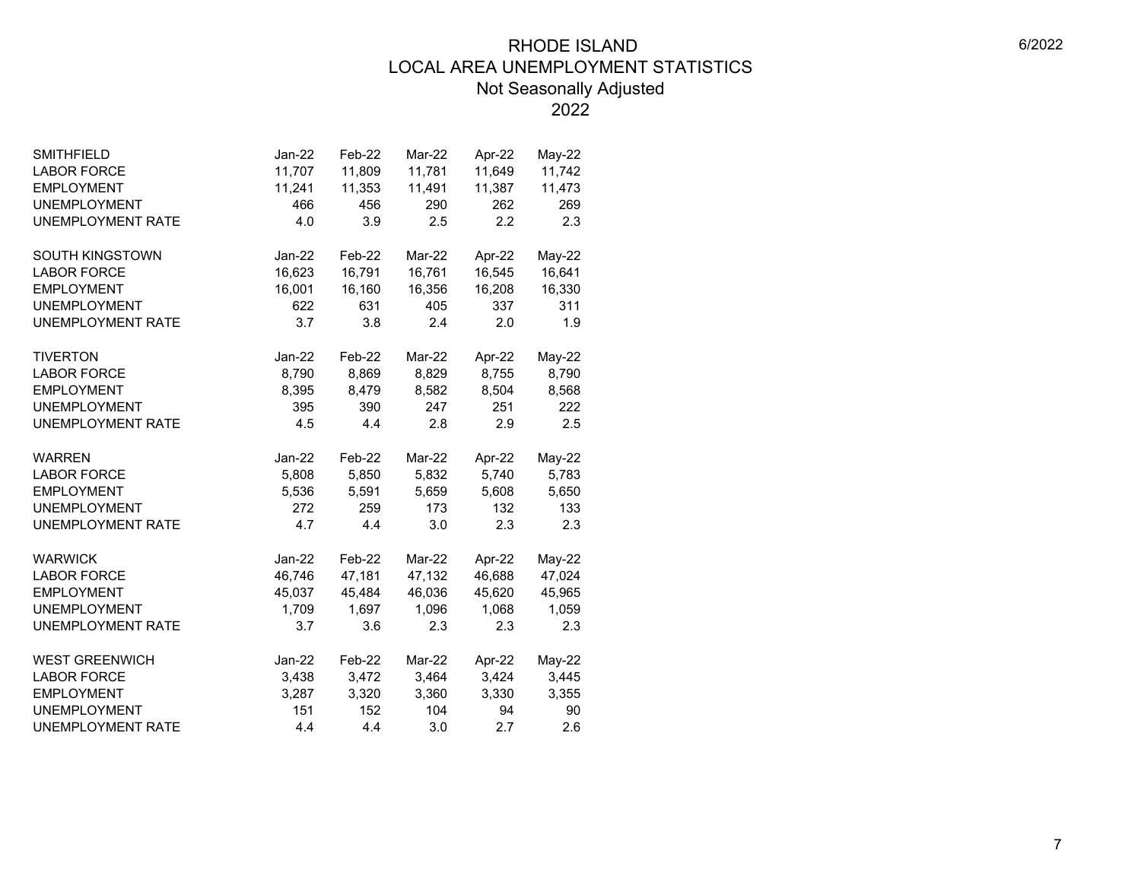| <b>SMITHFIELD</b>        | $Jan-22$ | Feb-22 | Mar-22 | Apr-22 | $May-22$ |  |
|--------------------------|----------|--------|--------|--------|----------|--|
| <b>LABOR FORCE</b>       | 11,707   | 11,809 | 11,781 | 11,649 | 11,742   |  |
| <b>EMPLOYMENT</b>        | 11,241   | 11,353 | 11,491 | 11,387 | 11,473   |  |
| <b>UNEMPLOYMENT</b>      | 466      | 456    | 290    | 262    | 269      |  |
| <b>UNEMPLOYMENT RATE</b> | 4.0      | 3.9    | 2.5    | 2.2    | 2.3      |  |
|                          |          |        |        |        |          |  |
| SOUTH KINGSTOWN          | Jan-22   | Feb-22 | Mar-22 | Apr-22 | May-22   |  |
| <b>LABOR FORCE</b>       | 16,623   | 16,791 | 16,761 | 16,545 | 16,641   |  |
| <b>EMPLOYMENT</b>        | 16,001   | 16,160 | 16,356 | 16,208 | 16,330   |  |
| <b>UNEMPLOYMENT</b>      | 622      | 631    | 405    | 337    | 311      |  |
| <b>UNEMPLOYMENT RATE</b> | 3.7      | 3.8    | 2.4    | 2.0    | 1.9      |  |
| <b>TIVERTON</b>          | Jan-22   | Feb-22 | Mar-22 | Apr-22 | $May-22$ |  |
| <b>LABOR FORCE</b>       | 8,790    | 8,869  | 8,829  | 8,755  | 8,790    |  |
| <b>EMPLOYMENT</b>        | 8,395    | 8,479  | 8,582  | 8,504  | 8,568    |  |
| <b>UNEMPLOYMENT</b>      | 395      | 390    | 247    | 251    | 222      |  |
| <b>UNEMPLOYMENT RATE</b> | 4.5      | 4.4    | 2.8    | 2.9    | 2.5      |  |
|                          |          |        |        |        |          |  |
| <b>WARREN</b>            | Jan-22   | Feb-22 | Mar-22 | Apr-22 | May-22   |  |
| <b>LABOR FORCE</b>       | 5,808    | 5,850  | 5,832  | 5,740  | 5,783    |  |
| <b>EMPLOYMENT</b>        | 5,536    | 5,591  | 5,659  | 5,608  | 5,650    |  |
| <b>UNEMPLOYMENT</b>      | 272      | 259    | 173    | 132    | 133      |  |
| UNEMPLOYMENT RATE        | 4.7      | 4.4    | 3.0    | 2.3    | 2.3      |  |
| <b>WARWICK</b>           | $Jan-22$ | Feb-22 | Mar-22 | Apr-22 | $May-22$ |  |
| <b>LABOR FORCE</b>       | 46,746   | 47,181 | 47,132 | 46,688 | 47,024   |  |
| <b>EMPLOYMENT</b>        | 45,037   | 45,484 | 46,036 | 45,620 | 45,965   |  |
| <b>UNEMPLOYMENT</b>      | 1,709    | 1,697  | 1,096  | 1,068  | 1,059    |  |
| <b>UNEMPLOYMENT RATE</b> | 3.7      | 3.6    | 2.3    | 2.3    | 2.3      |  |
|                          |          |        |        |        |          |  |
| <b>WEST GREENWICH</b>    | Jan-22   | Feb-22 | Mar-22 | Apr-22 | May-22   |  |
| <b>LABOR FORCE</b>       | 3,438    | 3,472  | 3,464  | 3,424  | 3,445    |  |
| <b>EMPLOYMENT</b>        | 3,287    | 3,320  | 3,360  | 3,330  | 3,355    |  |
| <b>UNEMPLOYMENT</b>      | 151      | 152    | 104    | 94     | 90       |  |
| <b>UNEMPLOYMENT RATE</b> | 4.4      | 4.4    | 3.0    | 2.7    | 2.6      |  |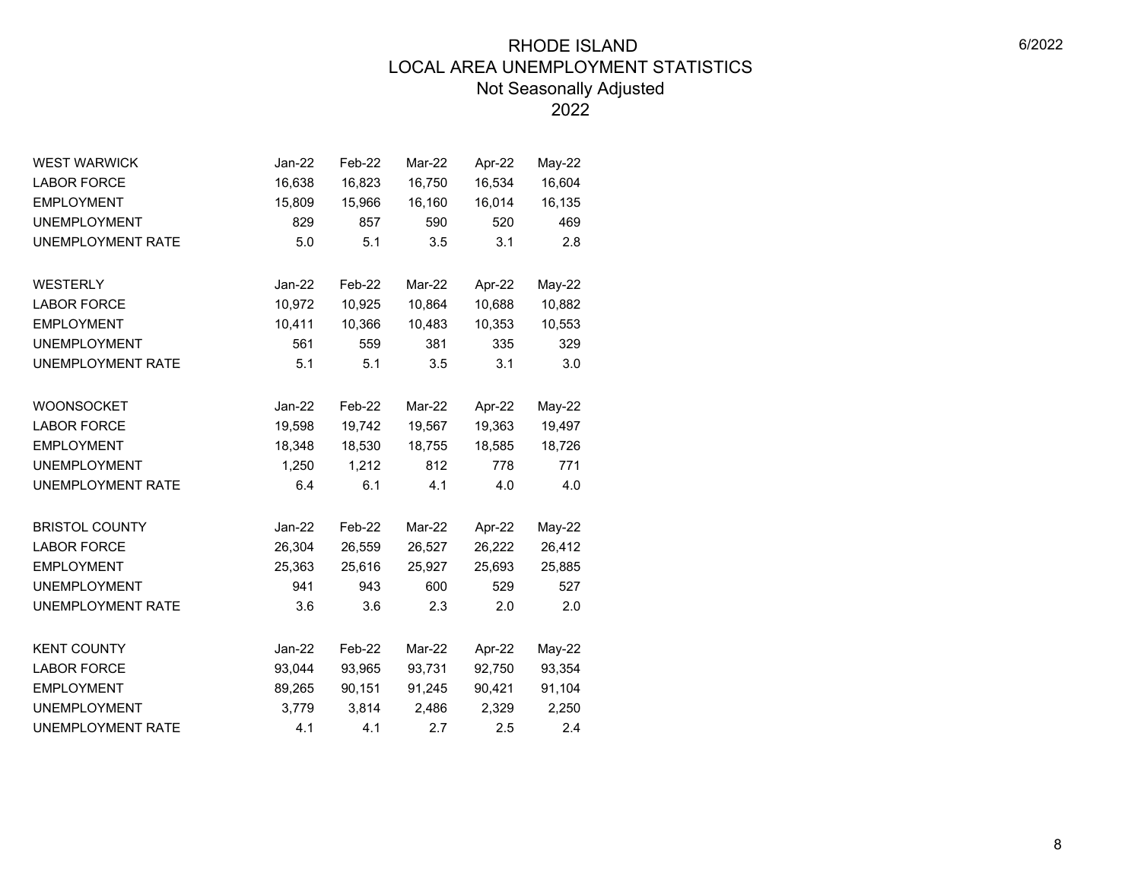| <b>WEST WARWICK</b>      | Jan-22   | Feb-22 | Mar-22 | Apr-22 | May-22 |
|--------------------------|----------|--------|--------|--------|--------|
| <b>LABOR FORCE</b>       | 16,638   | 16,823 | 16,750 | 16,534 | 16,604 |
| <b>EMPLOYMENT</b>        | 15,809   | 15,966 | 16,160 | 16,014 | 16,135 |
| <b>UNEMPLOYMENT</b>      | 829      | 857    | 590    | 520    | 469    |
| <b>UNEMPLOYMENT RATE</b> | 5.0      | 5.1    | 3.5    | 3.1    | 2.8    |
| <b>WESTERLY</b>          | $Jan-22$ | Feb-22 | Mar-22 | Apr-22 | May-22 |
| <b>LABOR FORCE</b>       | 10,972   | 10,925 | 10,864 | 10,688 | 10,882 |
| <b>EMPLOYMENT</b>        | 10,411   | 10,366 | 10,483 | 10,353 | 10,553 |
| <b>UNEMPLOYMENT</b>      | 561      | 559    | 381    | 335    | 329    |
| <b>UNEMPLOYMENT RATE</b> | 5.1      | 5.1    | 3.5    | 3.1    | 3.0    |
|                          |          |        |        |        |        |
| <b>WOONSOCKET</b>        | $Jan-22$ | Feb-22 | Mar-22 | Apr-22 | May-22 |
| <b>LABOR FORCE</b>       | 19,598   | 19,742 | 19,567 | 19,363 | 19,497 |
| <b>EMPLOYMENT</b>        | 18,348   | 18,530 | 18,755 | 18,585 | 18,726 |
| <b>UNEMPLOYMENT</b>      | 1,250    | 1,212  | 812    | 778    | 771    |
| <b>UNEMPLOYMENT RATE</b> | 6.4      | 6.1    | 4.1    | 4.0    | 4.0    |
| <b>BRISTOL COUNTY</b>    | Jan-22   | Feb-22 | Mar-22 | Apr-22 | May-22 |
| <b>LABOR FORCE</b>       | 26,304   | 26,559 | 26,527 | 26,222 | 26,412 |
| <b>EMPLOYMENT</b>        | 25,363   | 25,616 | 25,927 | 25,693 | 25,885 |
| <b>UNEMPLOYMENT</b>      | 941      | 943    | 600    | 529    | 527    |
| <b>UNEMPLOYMENT RATE</b> | 3.6      | 3.6    | 2.3    | 2.0    | 2.0    |
| <b>KENT COUNTY</b>       | $Jan-22$ | Feb-22 | Mar-22 | Apr-22 | May-22 |
| <b>LABOR FORCE</b>       | 93,044   | 93,965 | 93,731 | 92,750 | 93,354 |
| <b>EMPLOYMENT</b>        | 89,265   | 90,151 | 91,245 | 90,421 | 91,104 |
| <b>UNEMPLOYMENT</b>      | 3,779    | 3,814  | 2,486  | 2,329  | 2,250  |
| <b>UNEMPLOYMENT RATE</b> | 4.1      | 4.1    | 2.7    | 2.5    | 2.4    |